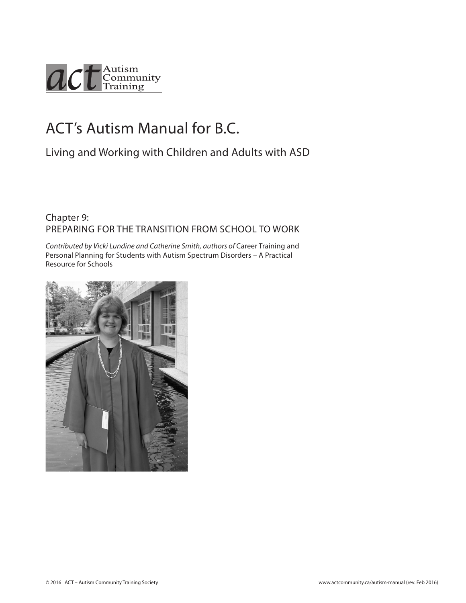

# ACT's Autism Manual for B.C.

# Living and Working with Children and Adults with ASD

#### Chapter 9: PREPARING FOR THE TRANSITION FROM SCHOOL TO WORK

*Contributed by Vicki Lundine and Catherine Smith, authors of* Career Training and Personal Planning for Students with Autism Spectrum Disorders – A Practical Resource for Schools

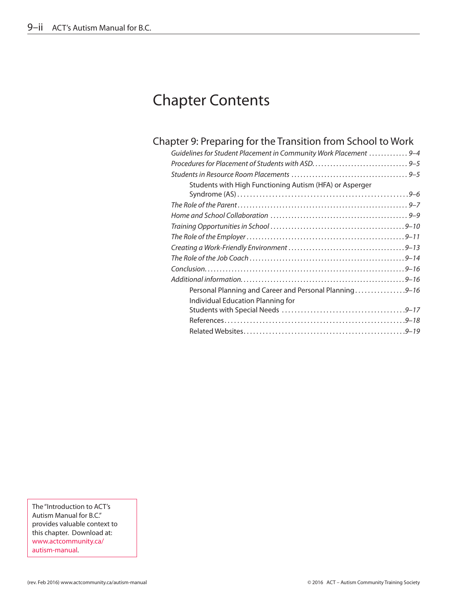# Chapter Contents

### Chapter 9: [Preparing for the Transition from School to Work](#page-2-0)

The "Introduction to ACT's Autism Manual for B.C." provides valuable context to this chapter. Download at: [www.actcommunity.ca/](http://www.actcommunity.ca/autism-manual) [autism-manual.](http://www.actcommunity.ca/autism-manual)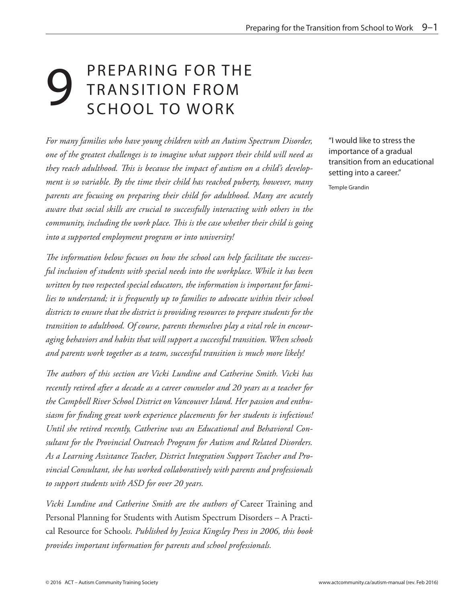# <span id="page-2-0"></span>**9 PREPARING FOR THE<br>SCHOOL TO WORK** TRANSITION FROM SCHOOL TO WORK

*For many families who have young children with an Autism Spectrum Disorder, one of the greatest challenges is to imagine what support their child will need as they reach adulthood. This is because the impact of autism on a child's development is so variable. By the time their child has reached puberty, however, many parents are focusing on preparing their child for adulthood. Many are acutely aware that social skills are crucial to successfully interacting with others in the community, including the work place. This is the case whether their child is going into a supported employment program or into university!*

*The information below focuses on how the school can help facilitate the successful inclusion of students with special needs into the workplace. While it has been written by two respected special educators, the information is important for families to understand; it is frequently up to families to advocate within their school districts to ensure that the district is providing resources to prepare students for the transition to adulthood. Of course, parents themselves play a vital role in encouraging behaviors and habits that will support a successful transition. When schools and parents work together as a team, successful transition is much more likely!*

*The authors of this section are Vicki Lundine and Catherine Smith. Vicki has recently retired after a decade as a career counselor and 20 years as a teacher for the Campbell River School District on Vancouver Island. Her passion and enthusiasm for finding great work experience placements for her students is infectious! Until she retired recently, Catherine was an Educational and Behavioral Consultant for the Provincial Outreach Program for Autism and Related Disorders. As a Learning Assistance Teacher, District Integration Support Teacher and Provincial Consultant, she has worked collaboratively with parents and professionals to support students with ASD for over 20 years.*

*Vicki Lundine and Catherine Smith are the authors of* Career Training and Personal Planning for Students with Autism Spectrum Disorders – A Practical Resource for School*s. Published by Jessica Kingsley Press in 2006, this book provides important information for parents and school professionals.*

"I would like to stress the importance of a gradual transition from an educational setting into a career."

Temple Grandin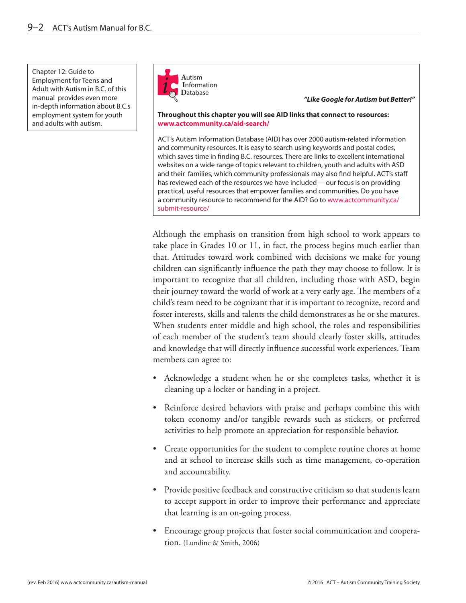Chapter 12: Guide to Employment for Teens and Adult with Autism in B.C. of this manual provides even more in-depth information about B.C.s employment system for youth and adults with autism.



*"Like Google for Autism but Better!"*

**Throughout this chapter you will see AID links that connect to resources: www.actcommunity.ca/aid-search/** 

ACT's Autism Information Database (AID) has over 2000 autism-related information and community resources. It is easy to search using keywords and postal codes, which saves time in finding B.C. resources. There are links to excellent international websites on a wide range of topics relevant to children, youth and adults with ASD and their families, which community professionals may also find helpful. ACT's staff has reviewed each of the resources we have included—our focus is on providing practical, useful resources that empower families and communities. Do you have a community resource to recommend for the AID? Go to www.actcommunity.ca/ submit-resource/

Although the emphasis on transition from high school to work appears to take place in Grades 10 or 11, in fact, the process begins much earlier than that. Attitudes toward work combined with decisions we make for young children can significantly influence the path they may choose to follow. It is important to recognize that all children, including those with ASD, begin their journey toward the world of work at a very early age. The members of a child's team need to be cognizant that it is important to recognize, record and foster interests, skills and talents the child demonstrates as he or she matures. When students enter middle and high school, the roles and responsibilities of each member of the student's team should clearly foster skills, attitudes and knowledge that will directly influence successful work experiences. Team members can agree to:

- Acknowledge a student when he or she completes tasks, whether it is cleaning up a locker or handing in a project.
- Reinforce desired behaviors with praise and perhaps combine this with token economy and/or tangible rewards such as stickers, or preferred activities to help promote an appreciation for responsible behavior.
- Create opportunities for the student to complete routine chores at home and at school to increase skills such as time management, co-operation and accountability.
- Provide positive feedback and constructive criticism so that students learn to accept support in order to improve their performance and appreciate that learning is an on-going process.
- Encourage group projects that foster social communication and cooperation. (Lundine & Smith, 2006)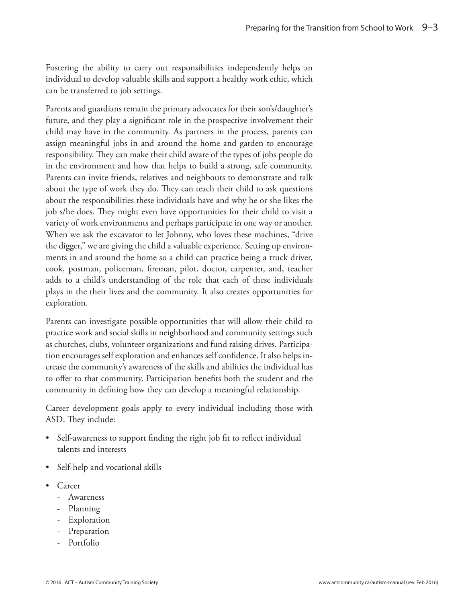Fostering the ability to carry out responsibilities independently helps an individual to develop valuable skills and support a healthy work ethic, which can be transferred to job settings.

Parents and guardians remain the primary advocates for their son's/daughter's future, and they play a significant role in the prospective involvement their child may have in the community. As partners in the process, parents can assign meaningful jobs in and around the home and garden to encourage responsibility. They can make their child aware of the types of jobs people do in the environment and how that helps to build a strong, safe community. Parents can invite friends, relatives and neighbours to demonstrate and talk about the type of work they do. They can teach their child to ask questions about the responsibilities these individuals have and why he or she likes the job s/he does. They might even have opportunities for their child to visit a variety of work environments and perhaps participate in one way or another. When we ask the excavator to let Johnny, who loves these machines, "drive the digger," we are giving the child a valuable experience. Setting up environments in and around the home so a child can practice being a truck driver, cook, postman, policeman, fireman, pilot, doctor, carpenter, and, teacher adds to a child's understanding of the role that each of these individuals plays in the their lives and the community. It also creates opportunities for exploration.

Parents can investigate possible opportunities that will allow their child to practice work and social skills in neighborhood and community settings such as churches, clubs, volunteer organizations and fund raising drives. Participation encourages self exploration and enhances self confidence. It also helps increase the community's awareness of the skills and abilities the individual has to offer to that community. Participation benefits both the student and the community in defining how they can develop a meaningful relationship.

Career development goals apply to every individual including those with ASD. They include:

- Self-awareness to support finding the right job fit to reflect individual talents and interests
- Self-help and vocational skills
- Career
	- Awareness
	- Planning
	- **Exploration**
	- Preparation
	- Portfolio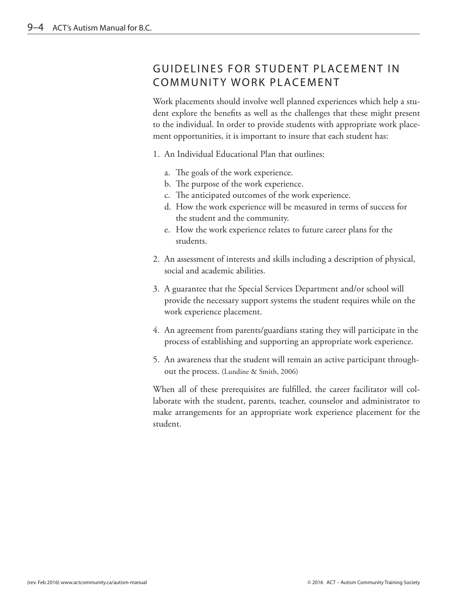## <span id="page-5-0"></span>GUIDELINES FOR STUDENT PLACEMENT IN COMMUNITY WORK PLACEMENT

Work placements should involve well planned experiences which help a student explore the benefits as well as the challenges that these might present to the individual. In order to provide students with appropriate work placement opportunities, it is important to insure that each student has:

- 1. An Individual Educational Plan that outlines:
	- a. The goals of the work experience.
	- b. The purpose of the work experience.
	- c. The anticipated outcomes of the work experience.
	- d. How the work experience will be measured in terms of success for the student and the community.
	- e. How the work experience relates to future career plans for the students.
- 2. An assessment of interests and skills including a description of physical, social and academic abilities.
- 3. A guarantee that the Special Services Department and/or school will provide the necessary support systems the student requires while on the work experience placement.
- 4. An agreement from parents/guardians stating they will participate in the process of establishing and supporting an appropriate work experience.
- 5. An awareness that the student will remain an active participant throughout the process. (Lundine & Smith, 2006)

When all of these prerequisites are fulfilled, the career facilitator will collaborate with the student, parents, teacher, counselor and administrator to make arrangements for an appropriate work experience placement for the student.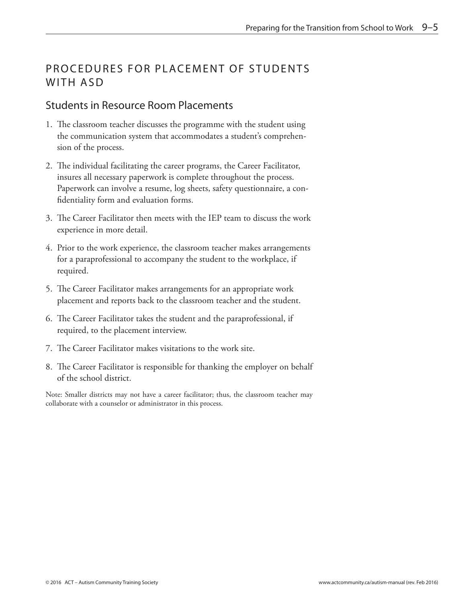# <span id="page-6-0"></span>PROCEDURES FOR PLACEMENT OF STUDENTS WITH ASD

#### Students in Resource Room Placements

- 1. The classroom teacher discusses the programme with the student using the communication system that accommodates a student's comprehension of the process.
- 2. The individual facilitating the career programs, the Career Facilitator, insures all necessary paperwork is complete throughout the process. Paperwork can involve a resume, log sheets, safety questionnaire, a confidentiality form and evaluation forms.
- 3. The Career Facilitator then meets with the IEP team to discuss the work experience in more detail.
- 4. Prior to the work experience, the classroom teacher makes arrangements for a paraprofessional to accompany the student to the workplace, if required.
- 5. The Career Facilitator makes arrangements for an appropriate work placement and reports back to the classroom teacher and the student.
- 6. The Career Facilitator takes the student and the paraprofessional, if required, to the placement interview.
- 7. The Career Facilitator makes visitations to the work site.
- 8. The Career Facilitator is responsible for thanking the employer on behalf of the school district.

Note: Smaller districts may not have a career facilitator; thus, the classroom teacher may collaborate with a counselor or administrator in this process.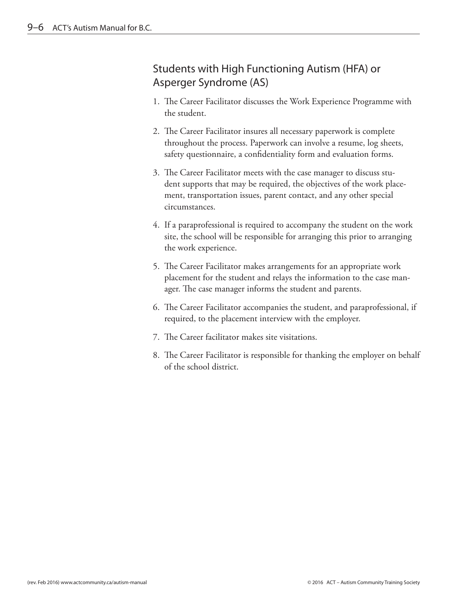## <span id="page-7-0"></span>Students with High Functioning Autism (HFA) or Asperger Syndrome (AS)

- 1. The Career Facilitator discusses the Work Experience Programme with the student.
- 2. The Career Facilitator insures all necessary paperwork is complete throughout the process. Paperwork can involve a resume, log sheets, safety questionnaire, a confidentiality form and evaluation forms.
- 3. The Career Facilitator meets with the case manager to discuss student supports that may be required, the objectives of the work placement, transportation issues, parent contact, and any other special circumstances.
- 4. If a paraprofessional is required to accompany the student on the work site, the school will be responsible for arranging this prior to arranging the work experience.
- 5. The Career Facilitator makes arrangements for an appropriate work placement for the student and relays the information to the case manager. The case manager informs the student and parents.
- 6. The Career Facilitator accompanies the student, and paraprofessional, if required, to the placement interview with the employer.
- 7. The Career facilitator makes site visitations.
- 8. The Career Facilitator is responsible for thanking the employer on behalf of the school district.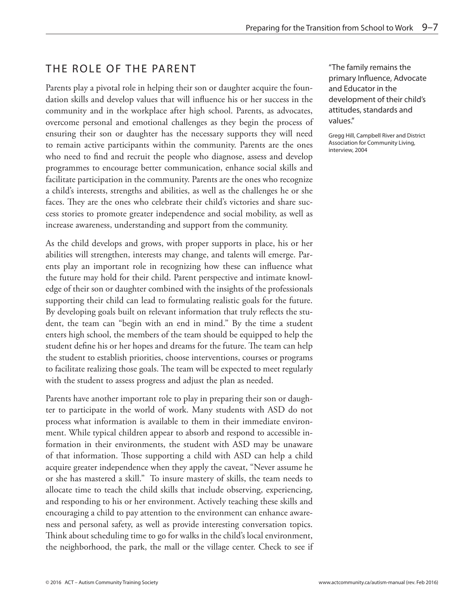# <span id="page-8-0"></span>THE ROLE OF THE PARENT

Parents play a pivotal role in helping their son or daughter acquire the foundation skills and develop values that will influence his or her success in the community and in the workplace after high school. Parents, as advocates, overcome personal and emotional challenges as they begin the process of ensuring their son or daughter has the necessary supports they will need to remain active participants within the community. Parents are the ones who need to find and recruit the people who diagnose, assess and develop programmes to encourage better communication, enhance social skills and facilitate participation in the community. Parents are the ones who recognize a child's interests, strengths and abilities, as well as the challenges he or she faces. They are the ones who celebrate their child's victories and share success stories to promote greater independence and social mobility, as well as increase awareness, understanding and support from the community.

As the child develops and grows, with proper supports in place, his or her abilities will strengthen, interests may change, and talents will emerge. Parents play an important role in recognizing how these can influence what the future may hold for their child. Parent perspective and intimate knowledge of their son or daughter combined with the insights of the professionals supporting their child can lead to formulating realistic goals for the future. By developing goals built on relevant information that truly reflects the student, the team can "begin with an end in mind." By the time a student enters high school, the members of the team should be equipped to help the student define his or her hopes and dreams for the future. The team can help the student to establish priorities, choose interventions, courses or programs to facilitate realizing those goals. The team will be expected to meet regularly with the student to assess progress and adjust the plan as needed.

Parents have another important role to play in preparing their son or daughter to participate in the world of work. Many students with ASD do not process what information is available to them in their immediate environment. While typical children appear to absorb and respond to accessible information in their environments, the student with ASD may be unaware of that information. Those supporting a child with ASD can help a child acquire greater independence when they apply the caveat, "Never assume he or she has mastered a skill." To insure mastery of skills, the team needs to allocate time to teach the child skills that include observing, experiencing, and responding to his or her environment. Actively teaching these skills and encouraging a child to pay attention to the environment can enhance awareness and personal safety, as well as provide interesting conversation topics. Think about scheduling time to go for walks in the child's local environment, the neighborhood, the park, the mall or the village center. Check to see if "The family remains the primary Influence, Advocate and Educator in the development of their child's attitudes, standards and values."

Gregg Hill, Campbell River and District Association for Community Living, interview, 2004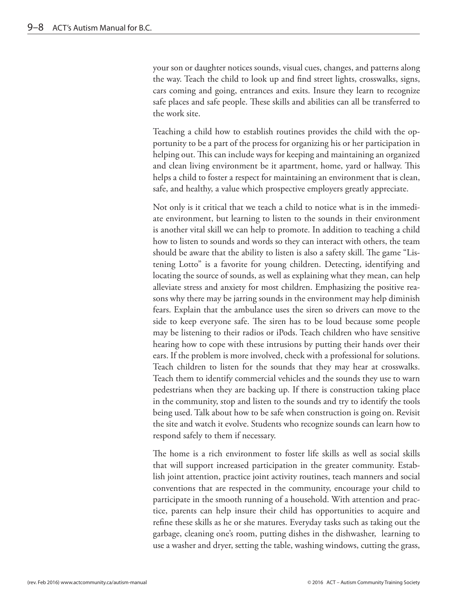your son or daughter notices sounds, visual cues, changes, and patterns along the way. Teach the child to look up and find street lights, crosswalks, signs, cars coming and going, entrances and exits. Insure they learn to recognize safe places and safe people. These skills and abilities can all be transferred to the work site.

Teaching a child how to establish routines provides the child with the opportunity to be a part of the process for organizing his or her participation in helping out. This can include ways for keeping and maintaining an organized and clean living environment be it apartment, home, yard or hallway. This helps a child to foster a respect for maintaining an environment that is clean, safe, and healthy, a value which prospective employers greatly appreciate.

Not only is it critical that we teach a child to notice what is in the immediate environment, but learning to listen to the sounds in their environment is another vital skill we can help to promote. In addition to teaching a child how to listen to sounds and words so they can interact with others, the team should be aware that the ability to listen is also a safety skill. The game "Listening Lotto" is a favorite for young children. Detecting, identifying and locating the source of sounds, as well as explaining what they mean, can help alleviate stress and anxiety for most children. Emphasizing the positive reasons why there may be jarring sounds in the environment may help diminish fears. Explain that the ambulance uses the siren so drivers can move to the side to keep everyone safe. The siren has to be loud because some people may be listening to their radios or iPods. Teach children who have sensitive hearing how to cope with these intrusions by putting their hands over their ears. If the problem is more involved, check with a professional for solutions. Teach children to listen for the sounds that they may hear at crosswalks. Teach them to identify commercial vehicles and the sounds they use to warn pedestrians when they are backing up. If there is construction taking place in the community, stop and listen to the sounds and try to identify the tools being used. Talk about how to be safe when construction is going on. Revisit the site and watch it evolve. Students who recognize sounds can learn how to respond safely to them if necessary.

The home is a rich environment to foster life skills as well as social skills that will support increased participation in the greater community. Establish joint attention, practice joint activity routines, teach manners and social conventions that are respected in the community, encourage your child to participate in the smooth running of a household. With attention and practice, parents can help insure their child has opportunities to acquire and refine these skills as he or she matures. Everyday tasks such as taking out the garbage, cleaning one's room, putting dishes in the dishwasher, learning to use a washer and dryer, setting the table, washing windows, cutting the grass,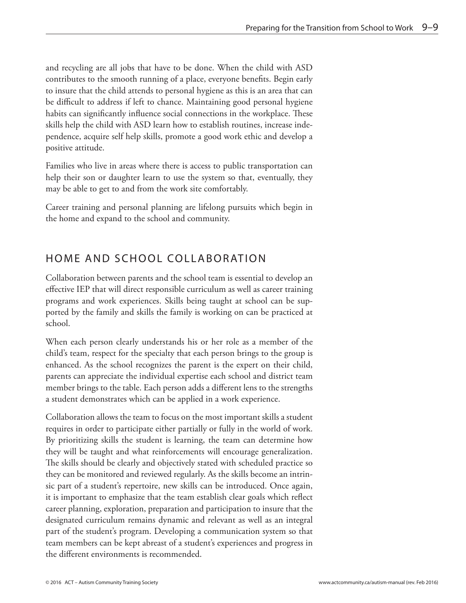<span id="page-10-0"></span>and recycling are all jobs that have to be done. When the child with ASD contributes to the smooth running of a place, everyone benefits. Begin early to insure that the child attends to personal hygiene as this is an area that can be difficult to address if left to chance. Maintaining good personal hygiene habits can significantly influence social connections in the workplace. These skills help the child with ASD learn how to establish routines, increase independence, acquire self help skills, promote a good work ethic and develop a positive attitude.

Families who live in areas where there is access to public transportation can help their son or daughter learn to use the system so that, eventually, they may be able to get to and from the work site comfortably.

Career training and personal planning are lifelong pursuits which begin in the home and expand to the school and community.

### HOME AND SCHOOL COLLABORATION

Collaboration between parents and the school team is essential to develop an effective IEP that will direct responsible curriculum as well as career training programs and work experiences. Skills being taught at school can be supported by the family and skills the family is working on can be practiced at school.

When each person clearly understands his or her role as a member of the child's team, respect for the specialty that each person brings to the group is enhanced. As the school recognizes the parent is the expert on their child, parents can appreciate the individual expertise each school and district team member brings to the table. Each person adds a different lens to the strengths a student demonstrates which can be applied in a work experience.

Collaboration allows the team to focus on the most important skills a student requires in order to participate either partially or fully in the world of work. By prioritizing skills the student is learning, the team can determine how they will be taught and what reinforcements will encourage generalization. The skills should be clearly and objectively stated with scheduled practice so they can be monitored and reviewed regularly. As the skills become an intrinsic part of a student's repertoire, new skills can be introduced. Once again, it is important to emphasize that the team establish clear goals which reflect career planning, exploration, preparation and participation to insure that the designated curriculum remains dynamic and relevant as well as an integral part of the student's program. Developing a communication system so that team members can be kept abreast of a student's experiences and progress in the different environments is recommended.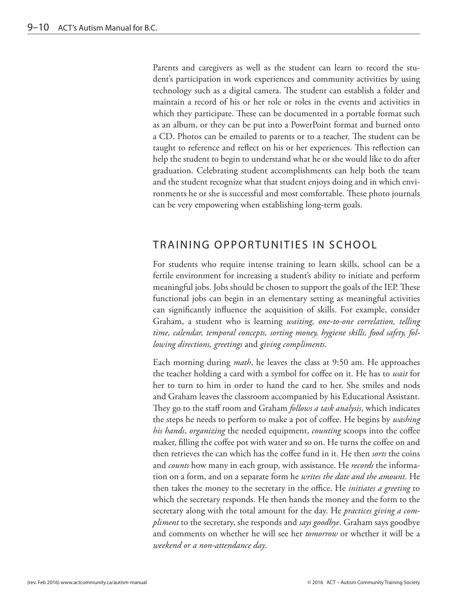<span id="page-11-0"></span>Parents and caregivers as well as the student can learn to record the student's participation in work experiences and community activities by using technology such as a digital camera. The student can establish a folder and maintain a record of his or her role or roles in the events and activities in which they participate. These can be documented in a portable format such as an album, or they can be put into a PowerPoint format and burned onto a CD. Photos can be emailed to parents or to a teacher. The student can be taught to reference and reflect on his or her experiences. This reflection can help the student to begin to understand what he or she would like to do after graduation. Celebrating student accomplishments can help both the team and the student recognize what that student enjoys doing and in which environments he or she is successful and most comfortable. These photo journals can be very empowering when establishing long-term goals.

### TRAINING OPPORTUNITIES IN SCHOOL

For students who require intense training to learn skills, school can be a fertile environment for increasing a student's ability to initiate and perform meaningful jobs. Jobs should be chosen to support the goals of the IEP. These functional jobs can begin in an elementary setting as meaningful activities can significantly influence the acquisition of skills. For example, consider Graham, a student who is learning *waiting, one-to-one correlation, telling time, calendar, temporal concepts, sorting money, hygiene skills, food safety, following directions, greetings* and *giving compliments*.

Each morning during *math*, he leaves the class at 9:50 am. He approaches the teacher holding a card with a symbol for coffee on it. He has to *wait* for her to turn to him in order to hand the card to her. She smiles and nods and Graham leaves the classroom accompanied by his Educational Assistant. They go to the staff room and Graham *follows a task analysis*, which indicates the steps he needs to perform to make a pot of coffee. He begins by *washing his hands*, *organizing* the needed equipment, *counting* scoops into the coffee maker, filling the coffee pot with water and so on. He turns the coffee on and then retrieves the can which has the coffee fund in it. He then *sorts* the coins and *counts* how many in each group, with assistance. He *records* the information on a form, and on a separate form he *writes the date and the amount*. He then takes the money to the secretary in the office. He *initiates a greeting* to which the secretary responds. He then hands the money and the form to the secretary along with the total amount for the day. He *practices giving a compliment* to the secretary, she responds and *says goodbye*. Graham says goodbye and comments on whether he will see her *tomorrow* or whether it will be a *weekend or a non-attendance day*.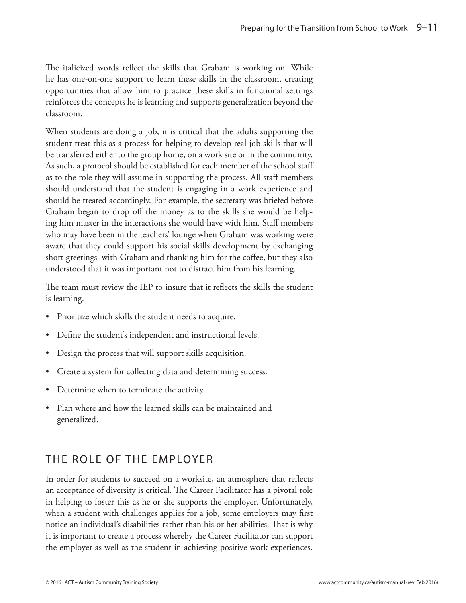<span id="page-12-0"></span>The italicized words reflect the skills that Graham is working on. While he has one-on-one support to learn these skills in the classroom, creating opportunities that allow him to practice these skills in functional settings reinforces the concepts he is learning and supports generalization beyond the classroom.

When students are doing a job, it is critical that the adults supporting the student treat this as a process for helping to develop real job skills that will be transferred either to the group home, on a work site or in the community. As such, a protocol should be established for each member of the school staff as to the role they will assume in supporting the process. All staff members should understand that the student is engaging in a work experience and should be treated accordingly. For example, the secretary was briefed before Graham began to drop off the money as to the skills she would be helping him master in the interactions she would have with him. Staff members who may have been in the teachers' lounge when Graham was working were aware that they could support his social skills development by exchanging short greetings with Graham and thanking him for the coffee, but they also understood that it was important not to distract him from his learning.

The team must review the IEP to insure that it reflects the skills the student is learning.

- Prioritize which skills the student needs to acquire.
- Define the student's independent and instructional levels.
- Design the process that will support skills acquisition.
- Create a system for collecting data and determining success.
- Determine when to terminate the activity.
- Plan where and how the learned skills can be maintained and generalized.

# THE ROLE OF THE EMPLOYER

In order for students to succeed on a worksite, an atmosphere that reflects an acceptance of diversity is critical. The Career Facilitator has a pivotal role in helping to foster this as he or she supports the employer. Unfortunately, when a student with challenges applies for a job, some employers may first notice an individual's disabilities rather than his or her abilities. That is why it is important to create a process whereby the Career Facilitator can support the employer as well as the student in achieving positive work experiences.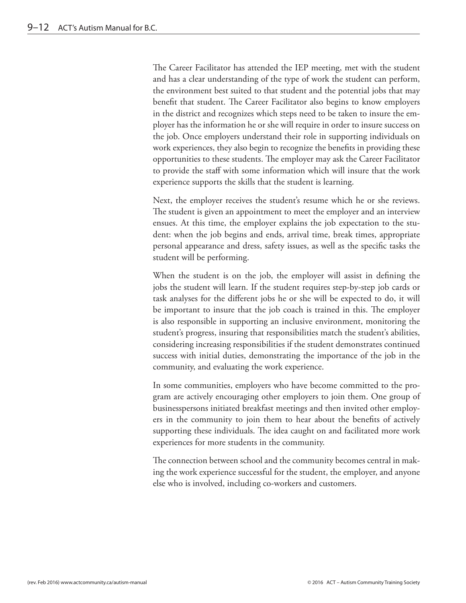The Career Facilitator has attended the IEP meeting, met with the student and has a clear understanding of the type of work the student can perform, the environment best suited to that student and the potential jobs that may benefit that student. The Career Facilitator also begins to know employers in the district and recognizes which steps need to be taken to insure the employer has the information he or she will require in order to insure success on the job. Once employers understand their role in supporting individuals on work experiences, they also begin to recognize the benefits in providing these opportunities to these students. The employer may ask the Career Facilitator to provide the staff with some information which will insure that the work experience supports the skills that the student is learning.

Next, the employer receives the student's resume which he or she reviews. The student is given an appointment to meet the employer and an interview ensues. At this time, the employer explains the job expectation to the student: when the job begins and ends, arrival time, break times, appropriate personal appearance and dress, safety issues, as well as the specific tasks the student will be performing.

When the student is on the job, the employer will assist in defining the jobs the student will learn. If the student requires step-by-step job cards or task analyses for the different jobs he or she will be expected to do, it will be important to insure that the job coach is trained in this. The employer is also responsible in supporting an inclusive environment, monitoring the student's progress, insuring that responsibilities match the student's abilities, considering increasing responsibilities if the student demonstrates continued success with initial duties, demonstrating the importance of the job in the community, and evaluating the work experience.

In some communities, employers who have become committed to the program are actively encouraging other employers to join them. One group of businesspersons initiated breakfast meetings and then invited other employers in the community to join them to hear about the benefits of actively supporting these individuals. The idea caught on and facilitated more work experiences for more students in the community.

The connection between school and the community becomes central in making the work experience successful for the student, the employer, and anyone else who is involved, including co-workers and customers.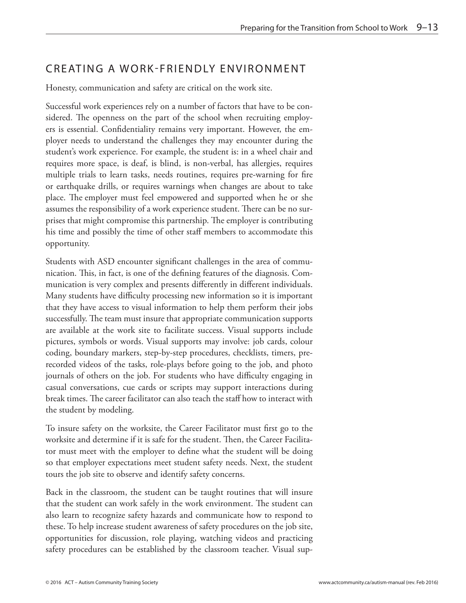### <span id="page-14-0"></span>CREATING A WORK-FRIENDLY ENVIRONMENT

Honesty, communication and safety are critical on the work site.

Successful work experiences rely on a number of factors that have to be considered. The openness on the part of the school when recruiting employers is essential. Confidentiality remains very important. However, the employer needs to understand the challenges they may encounter during the student's work experience. For example, the student is: in a wheel chair and requires more space, is deaf, is blind, is non-verbal, has allergies, requires multiple trials to learn tasks, needs routines, requires pre-warning for fire or earthquake drills, or requires warnings when changes are about to take place. The employer must feel empowered and supported when he or she assumes the responsibility of a work experience student. There can be no surprises that might compromise this partnership. The employer is contributing his time and possibly the time of other staff members to accommodate this opportunity.

Students with ASD encounter significant challenges in the area of communication. This, in fact, is one of the defining features of the diagnosis. Communication is very complex and presents differently in different individuals. Many students have difficulty processing new information so it is important that they have access to visual information to help them perform their jobs successfully. The team must insure that appropriate communication supports are available at the work site to facilitate success. Visual supports include pictures, symbols or words. Visual supports may involve: job cards, colour coding, boundary markers, step-by-step procedures, checklists, timers, prerecorded videos of the tasks, role-plays before going to the job, and photo journals of others on the job. For students who have difficulty engaging in casual conversations, cue cards or scripts may support interactions during break times. The career facilitator can also teach the staff how to interact with the student by modeling.

To insure safety on the worksite, the Career Facilitator must first go to the worksite and determine if it is safe for the student. Then, the Career Facilitator must meet with the employer to define what the student will be doing so that employer expectations meet student safety needs. Next, the student tours the job site to observe and identify safety concerns.

Back in the classroom, the student can be taught routines that will insure that the student can work safely in the work environment. The student can also learn to recognize safety hazards and communicate how to respond to these. To help increase student awareness of safety procedures on the job site, opportunities for discussion, role playing, watching videos and practicing safety procedures can be established by the classroom teacher. Visual sup-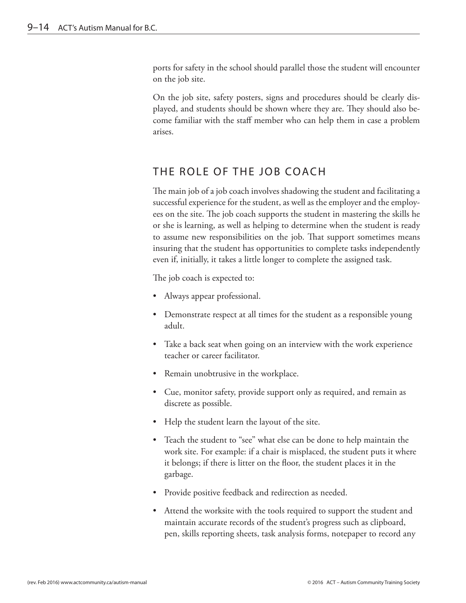<span id="page-15-0"></span>ports for safety in the school should parallel those the student will encounter on the job site.

On the job site, safety posters, signs and procedures should be clearly displayed, and students should be shown where they are. They should also become familiar with the staff member who can help them in case a problem arises.

### THE ROLE OF THE JOB COACH

The main job of a job coach involves shadowing the student and facilitating a successful experience for the student, as well as the employer and the employees on the site. The job coach supports the student in mastering the skills he or she is learning, as well as helping to determine when the student is ready to assume new responsibilities on the job. That support sometimes means insuring that the student has opportunities to complete tasks independently even if, initially, it takes a little longer to complete the assigned task.

The job coach is expected to:

- Always appear professional.
- Demonstrate respect at all times for the student as a responsible young adult.
- Take a back seat when going on an interview with the work experience teacher or career facilitator.
- Remain unobtrusive in the workplace.
- Cue, monitor safety, provide support only as required, and remain as discrete as possible.
- Help the student learn the layout of the site.
- Teach the student to "see" what else can be done to help maintain the work site. For example: if a chair is misplaced, the student puts it where it belongs; if there is litter on the floor, the student places it in the garbage.
- Provide positive feedback and redirection as needed.
- Attend the worksite with the tools required to support the student and maintain accurate records of the student's progress such as clipboard, pen, skills reporting sheets, task analysis forms, notepaper to record any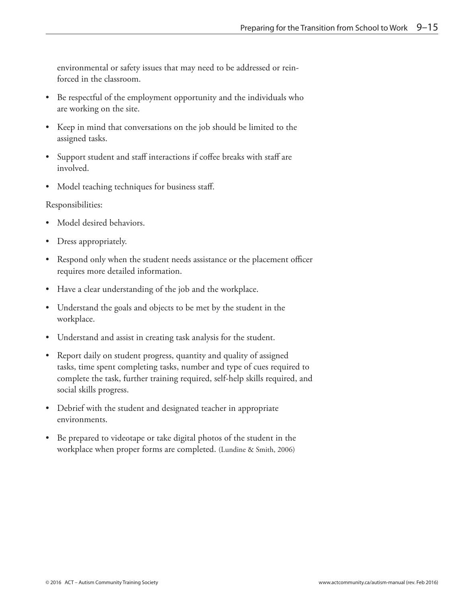environmental or safety issues that may need to be addressed or reinforced in the classroom.

- Be respectful of the employment opportunity and the individuals who are working on the site.
- Keep in mind that conversations on the job should be limited to the assigned tasks.
- Support student and staff interactions if coffee breaks with staff are involved.
- Model teaching techniques for business staff.

#### Responsibilities:

- Model desired behaviors.
- Dress appropriately.
- Respond only when the student needs assistance or the placement officer requires more detailed information.
- Have a clear understanding of the job and the workplace.
- Understand the goals and objects to be met by the student in the workplace.
- Understand and assist in creating task analysis for the student.
- Report daily on student progress, quantity and quality of assigned tasks, time spent completing tasks, number and type of cues required to complete the task, further training required, self-help skills required, and social skills progress.
- Debrief with the student and designated teacher in appropriate environments.
- Be prepared to videotape or take digital photos of the student in the workplace when proper forms are completed. (Lundine & Smith, 2006)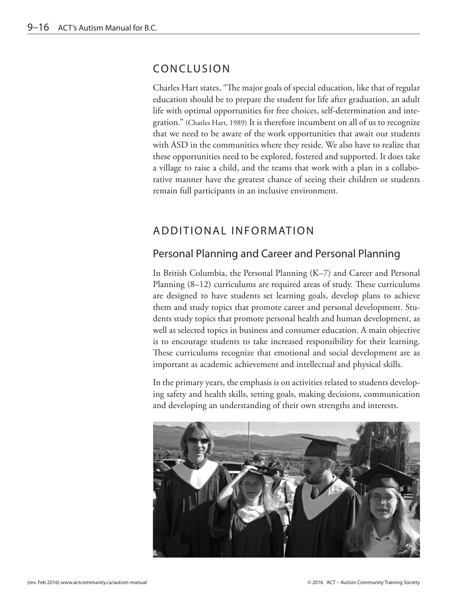#### <span id="page-17-0"></span>CONCLUSION

Charles Hart states, "The major goals of special education, like that of regular education should be to prepare the student for life after graduation, an adult life with optimal opportunities for free choices, self-determination and integration." (Charles Hart, 1989) It is therefore incumbent on all of us to recognize that we need to be aware of the work opportunities that await our students with ASD in the communities where they reside. We also have to realize that these opportunities need to be explored, fostered and supported. It does take a village to raise a child, and the teams that work with a plan in a collaborative manner have the greatest chance of seeing their children or students remain full participants in an inclusive environment.

## ADDITIONAL INFORMATION

### Personal Planning and Career and Personal Planning

In British Columbia, the Personal Planning (K–7) and Career and Personal Planning (8–12) curriculums are required areas of study. These curriculums are designed to have students set learning goals, develop plans to achieve them and study topics that promote career and personal development. Students study topics that promote personal health and human development, as well as selected topics in business and consumer education. A main objective is to encourage students to take increased responsibility for their learning. These curriculums recognize that emotional and social development are as important as academic achievement and intellectual and physical skills.

In the primary years, the emphasis is on activities related to students developing safety and health skills, setting goals, making decisions, communication and developing an understanding of their own strengths and interests.

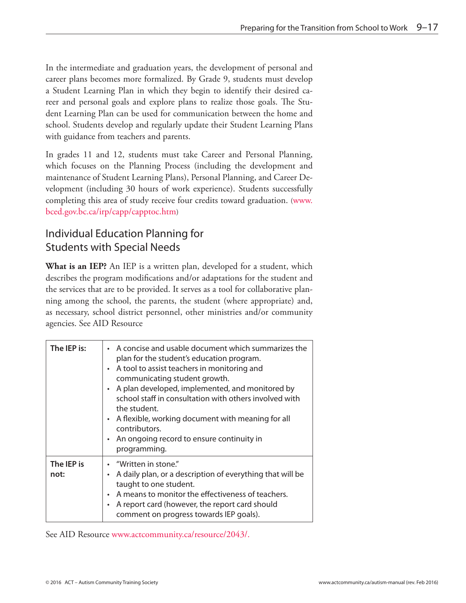<span id="page-18-0"></span>In the intermediate and graduation years, the development of personal and career plans becomes more formalized. By Grade 9, students must develop a Student Learning Plan in which they begin to identify their desired career and personal goals and explore plans to realize those goals. The Student Learning Plan can be used for communication between the home and school. Students develop and regularly update their Student Learning Plans with guidance from teachers and parents.

In grades 11 and 12, students must take Career and Personal Planning, which focuses on the Planning Process (including the development and maintenance of Student Learning Plans), Personal Planning, and Career Development (including 30 hours of work experience). Students successfully completing this area of study receive four credits toward graduation. [\(www.](http://www.bced.gov.bc.ca/irp/capp/capptoc.htm) [bced.gov.bc.ca/irp/capp/capptoc.htm\)](http://www.bced.gov.bc.ca/irp/capp/capptoc.htm)

# Individual Education Planning for Students with Special Needs

**What is an IEP?** An IEP is a written plan, developed for a student, which describes the program modifications and/or adaptations for the student and the services that are to be provided. It serves as a tool for collaborative planning among the school, the parents, the student (where appropriate) and, as necessary, school district personnel, other ministries and/or community agencies. See AID Resource

| The IEP is:        | A concise and usable document which summarizes the<br>$\bullet$<br>plan for the student's education program.<br>A tool to assist teachers in monitoring and<br>$\bullet$<br>communicating student growth.<br>A plan developed, implemented, and monitored by<br>$\bullet$<br>school staff in consultation with others involved with<br>the student.<br>• A flexible, working document with meaning for all<br>contributors.<br>• An ongoing record to ensure continuity in<br>programming. |
|--------------------|--------------------------------------------------------------------------------------------------------------------------------------------------------------------------------------------------------------------------------------------------------------------------------------------------------------------------------------------------------------------------------------------------------------------------------------------------------------------------------------------|
| The IEP is<br>not: | "Written in stone."<br>A daily plan, or a description of everything that will be<br>$\bullet$<br>taught to one student.<br>A means to monitor the effectiveness of teachers.<br>$\bullet$<br>A report card (however, the report card should<br>$\bullet$<br>comment on progress towards IEP goals).                                                                                                                                                                                        |

See AID Resource [www.actcommunity.ca/resource/2043/](http://www.actcommunity.ca/resource/2043/).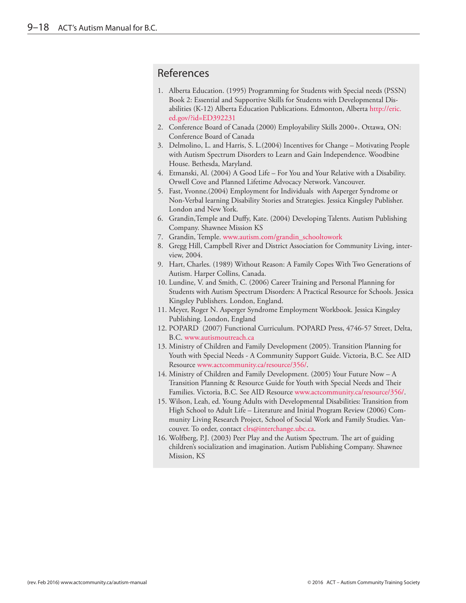#### <span id="page-19-0"></span>References

- 1. Alberta Education. (1995) Programming for Students with Special needs (PSSN) Book 2: Essential and Supportive Skills for Students with Developmental Disabilities (K-12) Alberta Education Publications. Edmonton, Alberta [http://eric.](http://eric.ed.gov/?id=ED392231) [ed.gov/?id=ED392231](http://eric.ed.gov/?id=ED392231)
- 2. Conference Board of Canada (2000) Employability Skills 2000+. Ottawa, ON: Conference Board of Canada
- 3. Delmolino, L. and Harris, S. L.(2004) Incentives for Change Motivating People with Autism Spectrum Disorders to Learn and Gain Independence. Woodbine House. Bethesda, Maryland.
- 4. Etmanski, Al. (2004) A Good Life For You and Your Relative with a Disability. Orwell Cove and Planned Lifetime Advocacy Network. Vancouver.
- 5. Fast, Yvonne.(2004) Employment for Individuals with Asperger Syndrome or Non-Verbal learning Disability Stories and Strategies. Jessica Kingsley Publisher. London and New York.
- 6. Grandin,Temple and Duffy, Kate. (2004) Developing Talents. Autism Publishing Company. Shawnee Mission KS
- 7. Grandin, Temple. [www.autism.com/grandin\\_schooltowork](http://www.autism.com/grandin_schooltowork)
- 8. Gregg Hill, Campbell River and District Association for Community Living, interview, 2004.
- 9. Hart, Charles. (1989) Without Reason: A Family Copes With Two Generations of Autism. Harper Collins, Canada.
- 10. Lundine, V. and Smith, C. (2006) Career Training and Personal Planning for Students with Autism Spectrum Disorders: A Practical Resource for Schools. Jessica Kingsley Publishers. London, England.
- 11. Meyer, Roger N. Asperger Syndrome Employment Workbook. Jessica Kingsley Publishing. London, England
- 12. POPARD (2007) Functional Curriculum. POPARD Press, 4746-57 Street, Delta, B.C. <www.autismoutreach.ca>
- 13. Ministry of Children and Family Development (2005). Transition Planning for Youth with Special Needs - A Community Support Guide. Victoria, B.C. See AID Resource [www.actcommunity.ca/resource/356/.](http://www.actcommunity.ca/resource/356/)
- 14. Ministry of Children and Family Development. (2005) Your Future Now A Transition Planning & Resource Guide for Youth with Special Needs and Their Families. Victoria, B.C. See AID Resource [www.actcommunity.ca/resource/356/](http://www.actcommunity.ca/resource/356/).
- 15. Wilson, Leah, ed. Young Adults with Developmental Disabilities: Transition from High School to Adult Life – Literature and Initial Program Review (2006) Community Living Research Project, School of Social Work and Family Studies. Vancouver. To order, contact [clrs@interchange.ubc.ca.](mailto:clrs@interchange.ubc.ca)
- 16. Wolfberg, P.J. (2003) Peer Play and the Autism Spectrum. The art of guiding children's socialization and imagination. Autism Publishing Company. Shawnee Mission, KS